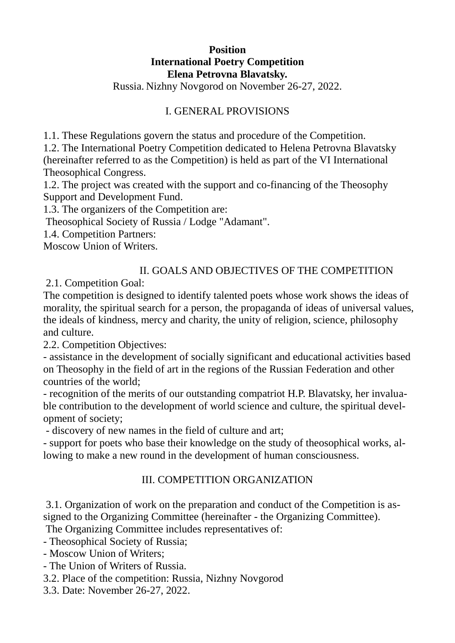## **Position International Poetry Competition Elena Petrovna Blavatsky.**

Russia. Nizhny Novgorod on November 26-27, 2022.

# I. GENERAL PROVISIONS

1.1. These Regulations govern the status and procedure of the Competition.

1.2. The International Poetry Competition dedicated to Helena Petrovna Blavatsky (hereinafter referred to as the Competition) is held as part of the VI International Theosophical Congress.

1.2. The project was created with the support and co-financing of the Theosophy Support and Development Fund.

1.3. The organizers of the Competition are:

Theosophical Society of Russia / Lodge "Adamant".

1.4. Competition Partners:

Moscow Union of Writers.

### II. GOALS AND OBJECTIVES OF THE COMPETITION

2.1. Competition Goal:

The competition is designed to identify talented poets whose work shows the ideas of morality, the spiritual search for a person, the propaganda of ideas of universal values, the ideals of kindness, mercy and charity, the unity of religion, science, philosophy and culture.

2.2. Competition Objectives:

- assistance in the development of socially significant and educational activities based on Theosophy in the field of art in the regions of the Russian Federation and other countries of the world;

- recognition of the merits of our outstanding compatriot H.P. Blavatsky, her invaluable contribution to the development of world science and culture, the spiritual development of society;

- discovery of new names in the field of culture and art;

- support for poets who base their knowledge on the study of theosophical works, allowing to make a new round in the development of human consciousness.

### III. COMPETITION ORGANIZATION

3.1. Organization of work on the preparation and conduct of the Competition is assigned to the Organizing Committee (hereinafter - the Organizing Committee).

The Organizing Committee includes representatives of:

- Theosophical Society of Russia;

- Moscow Union of Writers;
- The Union of Writers of Russia.
- 3.2. Place of the competition: Russia, Nizhny Novgorod
- 3.3. Date: November 26-27, 2022.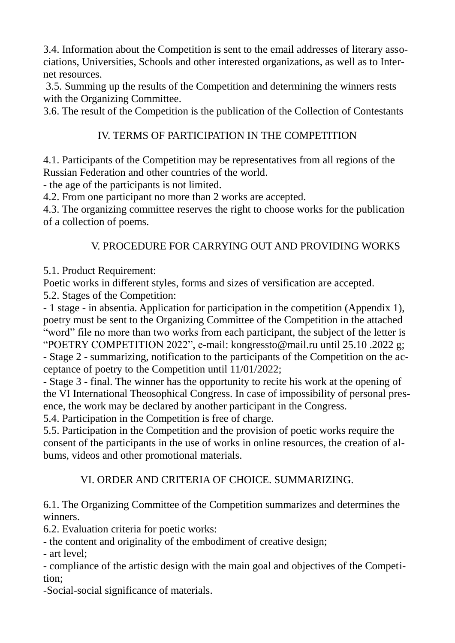3.4. Information about the Competition is sent to the email addresses of literary associations, Universities, Schools and other interested organizations, as well as to Internet resources.

3.5. Summing up the results of the Competition and determining the winners rests with the Organizing Committee.

3.6. The result of the Competition is the publication of the Collection of Contestants

# IV. TERMS OF PARTICIPATION IN THE COMPETITION

4.1. Participants of the Competition may be representatives from all regions of the Russian Federation and other countries of the world.

- the age of the participants is not limited.

4.2. From one participant no more than 2 works are accepted.

4.3. The organizing committee reserves the right to choose works for the publication of a collection of poems.

## V. PROCEDURE FOR CARRYING OUT AND PROVIDING WORKS

5.1. Product Requirement:

Poetic works in different styles, forms and sizes of versification are accepted.

5.2. Stages of the Competition:

- 1 stage - in absentia. Application for participation in the competition (Appendix 1), poetry must be sent to the Organizing Committee of the Competition in the attached "word" file no more than two works from each participant, the subject of the letter is "POETRY COMPETITION 2022", e-mail: kongressto@mail.ru until 25.10 .2022 g;

- Stage 2 - summarizing, notification to the participants of the Competition on the acceptance of poetry to the Competition until 11/01/2022;

- Stage 3 - final. The winner has the opportunity to recite his work at the opening of the VI International Theosophical Congress. In case of impossibility of personal presence, the work may be declared by another participant in the Congress.

5.4. Participation in the Competition is free of charge.

5.5. Participation in the Competition and the provision of poetic works require the consent of the participants in the use of works in online resources, the creation of albums, videos and other promotional materials.

### VI. ORDER AND CRITERIA OF CHOICE. SUMMARIZING.

6.1. The Organizing Committee of the Competition summarizes and determines the winners.

6.2. Evaluation criteria for poetic works:

- the content and originality of the embodiment of creative design;

- art level;

- compliance of the artistic design with the main goal and objectives of the Competition;

-Social-social significance of materials.